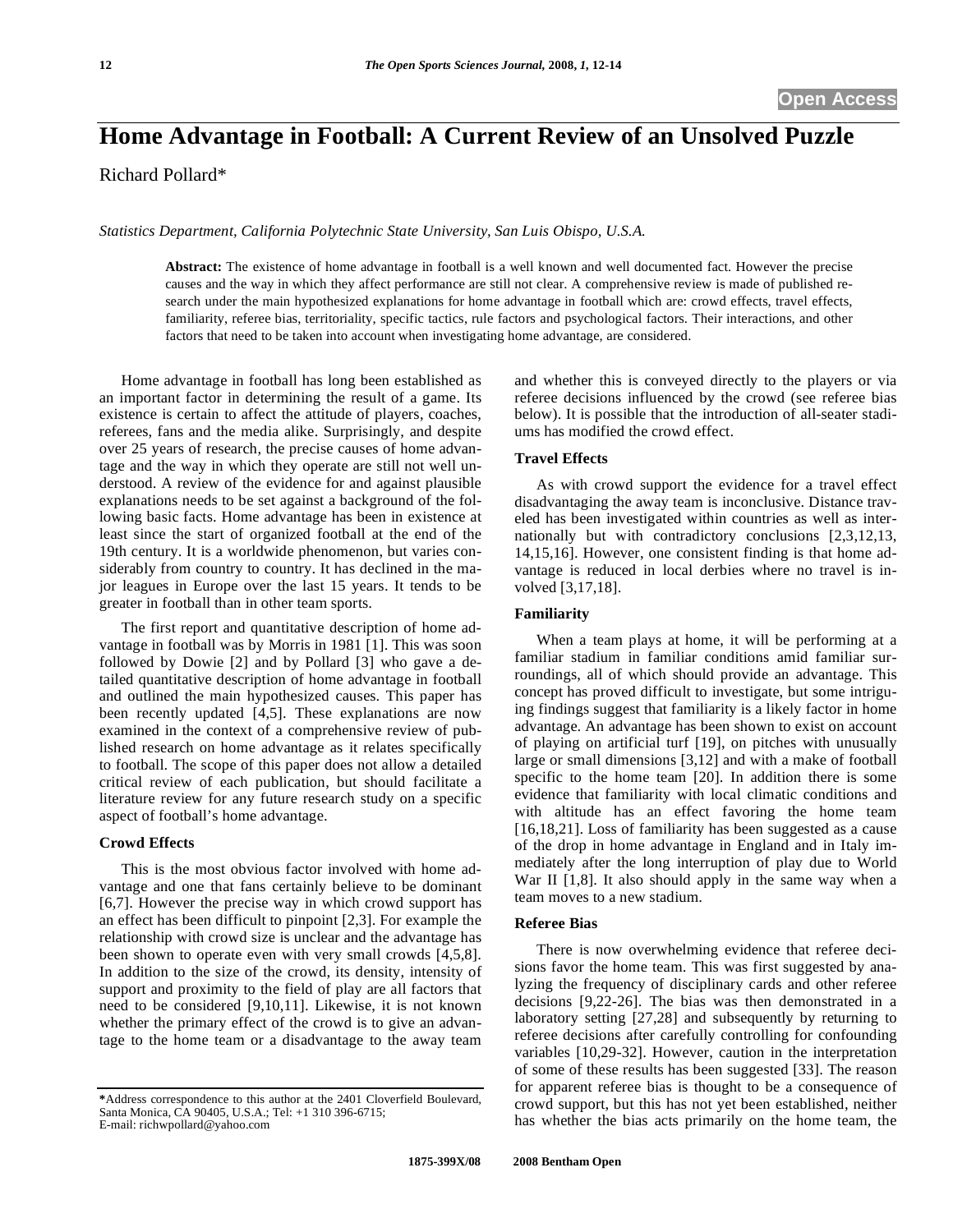# **Home Advantage in Football: A Current Review of an Unsolved Puzzle**

Richard Pollard\*

*Statistics Department, California Polytechnic State University, San Luis Obispo, U.S.A.* 

**Abstract:** The existence of home advantage in football is a well known and well documented fact. However the precise causes and the way in which they affect performance are still not clear. A comprehensive review is made of published research under the main hypothesized explanations for home advantage in football which are: crowd effects, travel effects, familiarity, referee bias, territoriality, specific tactics, rule factors and psychological factors. Their interactions, and other factors that need to be taken into account when investigating home advantage, are considered.

Home advantage in football has long been established as an important factor in determining the result of a game. Its existence is certain to affect the attitude of players, coaches, referees, fans and the media alike. Surprisingly, and despite over 25 years of research, the precise causes of home advantage and the way in which they operate are still not well understood. A review of the evidence for and against plausible explanations needs to be set against a background of the following basic facts. Home advantage has been in existence at least since the start of organized football at the end of the 19th century. It is a worldwide phenomenon, but varies considerably from country to country. It has declined in the major leagues in Europe over the last 15 years. It tends to be greater in football than in other team sports.

The first report and quantitative description of home advantage in football was by Morris in 1981 [1]. This was soon followed by Dowie [2] and by Pollard [3] who gave a detailed quantitative description of home advantage in football and outlined the main hypothesized causes. This paper has been recently updated [4,5]. These explanations are now examined in the context of a comprehensive review of published research on home advantage as it relates specifically to football. The scope of this paper does not allow a detailed critical review of each publication, but should facilitate a literature review for any future research study on a specific aspect of football's home advantage.

## **Crowd Effects**

This is the most obvious factor involved with home advantage and one that fans certainly believe to be dominant [6,7]. However the precise way in which crowd support has an effect has been difficult to pinpoint [2,3]. For example the relationship with crowd size is unclear and the advantage has been shown to operate even with very small crowds [4,5,8]. In addition to the size of the crowd, its density, intensity of support and proximity to the field of play are all factors that need to be considered [9,10,11]. Likewise, it is not known whether the primary effect of the crowd is to give an advantage to the home team or a disadvantage to the away team

and whether this is conveyed directly to the players or via referee decisions influenced by the crowd (see referee bias below). It is possible that the introduction of all-seater stadiums has modified the crowd effect.

## **Travel Effects**

As with crowd support the evidence for a travel effect disadvantaging the away team is inconclusive. Distance traveled has been investigated within countries as well as internationally but with contradictory conclusions [2,3,12,13, 14,15,16]. However, one consistent finding is that home advantage is reduced in local derbies where no travel is involved [3,17,18].

## **Familiarity**

When a team plays at home, it will be performing at a familiar stadium in familiar conditions amid familiar surroundings, all of which should provide an advantage. This concept has proved difficult to investigate, but some intriguing findings suggest that familiarity is a likely factor in home advantage. An advantage has been shown to exist on account of playing on artificial turf [19], on pitches with unusually large or small dimensions [3,12] and with a make of football specific to the home team [20]. In addition there is some evidence that familiarity with local climatic conditions and with altitude has an effect favoring the home team [16,18,21]. Loss of familiarity has been suggested as a cause of the drop in home advantage in England and in Italy immediately after the long interruption of play due to World War II [1,8]. It also should apply in the same way when a team moves to a new stadium.

#### **Referee Bias**

There is now overwhelming evidence that referee decisions favor the home team. This was first suggested by analyzing the frequency of disciplinary cards and other referee decisions [9,22-26]. The bias was then demonstrated in a laboratory setting [27,28] and subsequently by returning to referee decisions after carefully controlling for confounding variables [10,29-32]. However, caution in the interpretation of some of these results has been suggested [33]. The reason for apparent referee bias is thought to be a consequence of crowd support, but this has not yet been established, neither has whether the bias acts primarily on the home team, the

**<sup>\*</sup>**Address correspondence to this author at the 2401 Cloverfield Boulevard, Santa Monica, CA 90405, U.S.A.; Tel: +1 310 396-6715; E-mail: richwpollard@yahoo.com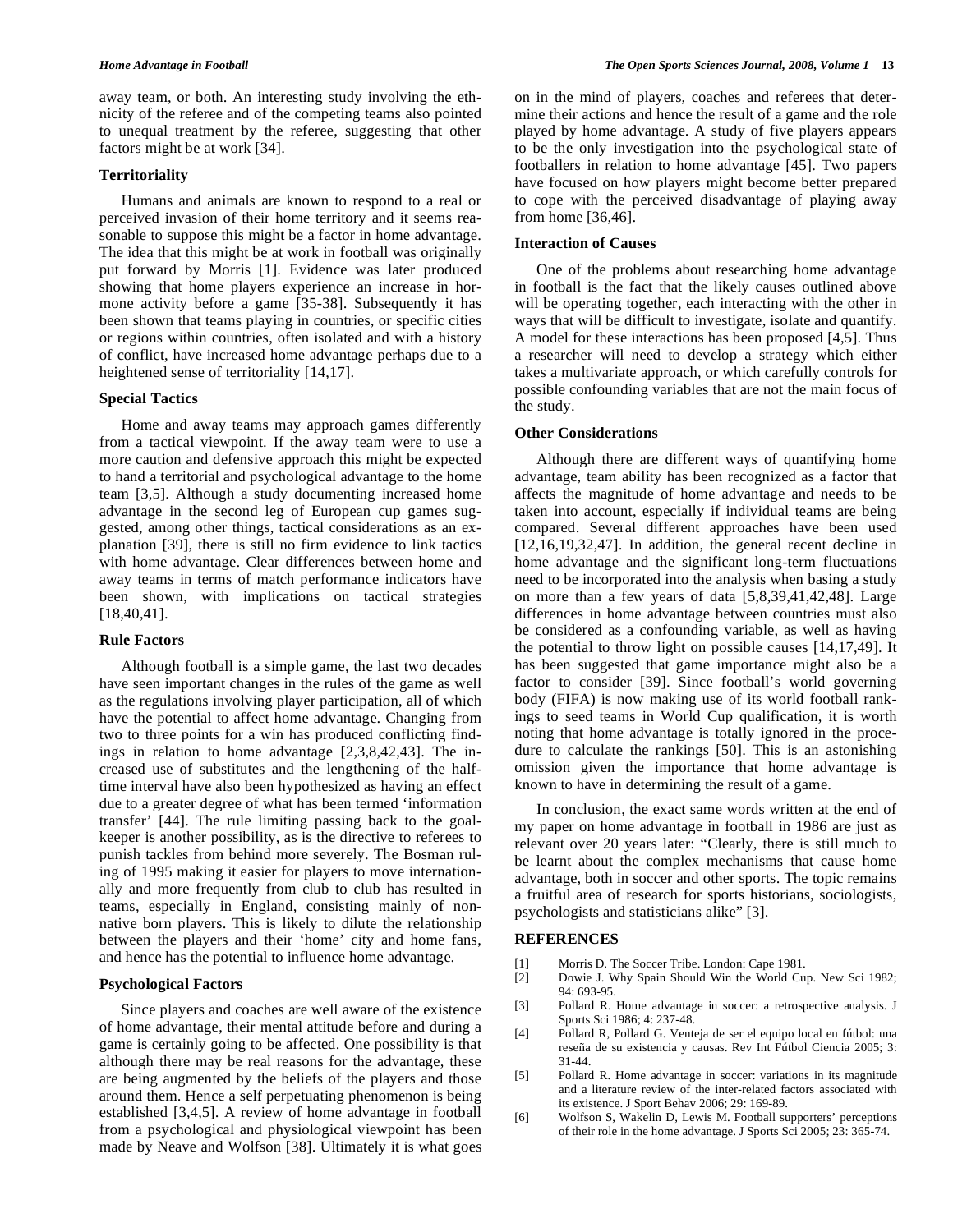away team, or both. An interesting study involving the ethnicity of the referee and of the competing teams also pointed to unequal treatment by the referee, suggesting that other factors might be at work [34].

#### **Territoriality**

Humans and animals are known to respond to a real or perceived invasion of their home territory and it seems reasonable to suppose this might be a factor in home advantage. The idea that this might be at work in football was originally put forward by Morris [1]. Evidence was later produced showing that home players experience an increase in hormone activity before a game [35-38]. Subsequently it has been shown that teams playing in countries, or specific cities or regions within countries, often isolated and with a history of conflict, have increased home advantage perhaps due to a heightened sense of territoriality [14,17].

## **Special Tactics**

Home and away teams may approach games differently from a tactical viewpoint. If the away team were to use a more caution and defensive approach this might be expected to hand a territorial and psychological advantage to the home team [3,5]. Although a study documenting increased home advantage in the second leg of European cup games suggested, among other things, tactical considerations as an explanation [39], there is still no firm evidence to link tactics with home advantage. Clear differences between home and away teams in terms of match performance indicators have been shown, with implications on tactical strategies [18,40,41].

## **Rule Factors**

Although football is a simple game, the last two decades have seen important changes in the rules of the game as well as the regulations involving player participation, all of which have the potential to affect home advantage. Changing from two to three points for a win has produced conflicting findings in relation to home advantage [2,3,8,42,43]. The increased use of substitutes and the lengthening of the halftime interval have also been hypothesized as having an effect due to a greater degree of what has been termed 'information transfer' [44]. The rule limiting passing back to the goalkeeper is another possibility, as is the directive to referees to punish tackles from behind more severely. The Bosman ruling of 1995 making it easier for players to move internationally and more frequently from club to club has resulted in teams, especially in England, consisting mainly of nonnative born players. This is likely to dilute the relationship between the players and their 'home' city and home fans, and hence has the potential to influence home advantage.

## **Psychological Factors**

Since players and coaches are well aware of the existence of home advantage, their mental attitude before and during a game is certainly going to be affected. One possibility is that although there may be real reasons for the advantage, these are being augmented by the beliefs of the players and those around them. Hence a self perpetuating phenomenon is being established [3,4,5]. A review of home advantage in football from a psychological and physiological viewpoint has been made by Neave and Wolfson [38]. Ultimately it is what goes on in the mind of players, coaches and referees that determine their actions and hence the result of a game and the role played by home advantage. A study of five players appears to be the only investigation into the psychological state of footballers in relation to home advantage [45]. Two papers have focused on how players might become better prepared to cope with the perceived disadvantage of playing away from home [36,46].

## **Interaction of Causes**

One of the problems about researching home advantage in football is the fact that the likely causes outlined above will be operating together, each interacting with the other in ways that will be difficult to investigate, isolate and quantify. A model for these interactions has been proposed [4,5]. Thus a researcher will need to develop a strategy which either takes a multivariate approach, or which carefully controls for possible confounding variables that are not the main focus of the study.

### **Other Considerations**

Although there are different ways of quantifying home advantage, team ability has been recognized as a factor that affects the magnitude of home advantage and needs to be taken into account, especially if individual teams are being compared. Several different approaches have been used [12,16,19,32,47]. In addition, the general recent decline in home advantage and the significant long-term fluctuations need to be incorporated into the analysis when basing a study on more than a few years of data [5,8,39,41,42,48]. Large differences in home advantage between countries must also be considered as a confounding variable, as well as having the potential to throw light on possible causes [14,17,49]. It has been suggested that game importance might also be a factor to consider [39]. Since football's world governing body (FIFA) is now making use of its world football rankings to seed teams in World Cup qualification, it is worth noting that home advantage is totally ignored in the procedure to calculate the rankings [50]. This is an astonishing omission given the importance that home advantage is known to have in determining the result of a game.

In conclusion, the exact same words written at the end of my paper on home advantage in football in 1986 are just as relevant over 20 years later: "Clearly, there is still much to be learnt about the complex mechanisms that cause home advantage, both in soccer and other sports. The topic remains a fruitful area of research for sports historians, sociologists, psychologists and statisticians alike" [3].

## **REFERENCES**

- [1] Morris D. The Soccer Tribe. London: Cape 1981.
- [2] Dowie J. Why Spain Should Win the World Cup. New Sci 1982; 94: 693-95.
- [3] Pollard R. Home advantage in soccer: a retrospective analysis. J Sports Sci 1986; 4: 237-48.
- [4] Pollard R, Pollard G. Venteja de ser el equipo local en fútbol: una reseña de su existencia y causas. Rev Int Fútbol Ciencia 2005; 3: 31-44.
- [5] Pollard R. Home advantage in soccer: variations in its magnitude and a literature review of the inter-related factors associated with its existence. J Sport Behav 2006; 29: 169-89.
- [6] Wolfson S, Wakelin D, Lewis M. Football supporters' perceptions of their role in the home advantage. J Sports Sci 2005; 23: 365-74.